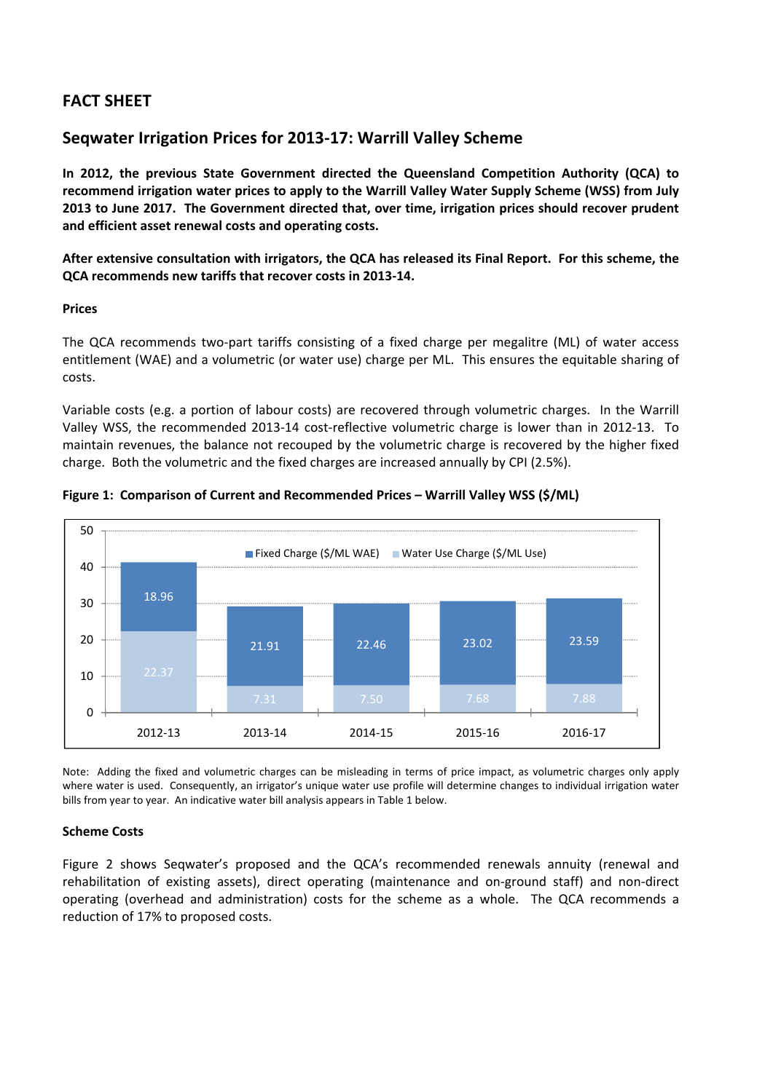# **FACT SHEET**

# **Seqwater Irrigation Prices for 2013‐17: Warrill Valley Scheme**

**In 2012, the previous State Government directed the Queensland Competition Authority (QCA) to recommend irrigation water prices to apply to the Warrill Valley Water Supply Scheme (WSS) from July 2013 to June 2017. The Government directed that, over time, irrigation prices should recover prudent and efficient asset renewal costs and operating costs.** 

After extensive consultation with irrigators, the QCA has released its Final Report. For this scheme, the **QCA recommends new tariffs that recover costs in 2013‐14.**

## **Prices**

The QCA recommends two-part tariffs consisting of a fixed charge per megalitre (ML) of water access entitlement (WAE) and a volumetric (or water use) charge per ML. This ensures the equitable sharing of costs.

Variable costs (e.g. a portion of labour costs) are recovered through volumetric charges. In the Warrill Valley WSS, the recommended 2013-14 cost-reflective volumetric charge is lower than in 2012-13. To maintain revenues, the balance not recouped by the volumetric charge is recovered by the higher fixed charge. Both the volumetric and the fixed charges are increased annually by CPI (2.5%).



## **Figure 1: Comparison of Current and Recommended Prices – Warrill Valley WSS (\$/ML)**

Note: Adding the fixed and volumetric charges can be misleading in terms of price impact, as volumetric charges only apply where water is used. Consequently, an irrigator's unique water use profile will determine changes to individual irrigation water bills from year to year. An indicative water bill analysis appears in Table 1 below.

# **Scheme Costs**

Figure 2 shows Seqwater's proposed and the QCA's recommended renewals annuity (renewal and rehabilitation of existing assets), direct operating (maintenance and on‐ground staff) and non‐direct operating (overhead and administration) costs for the scheme as a whole. The QCA recommends a reduction of 17% to proposed costs.